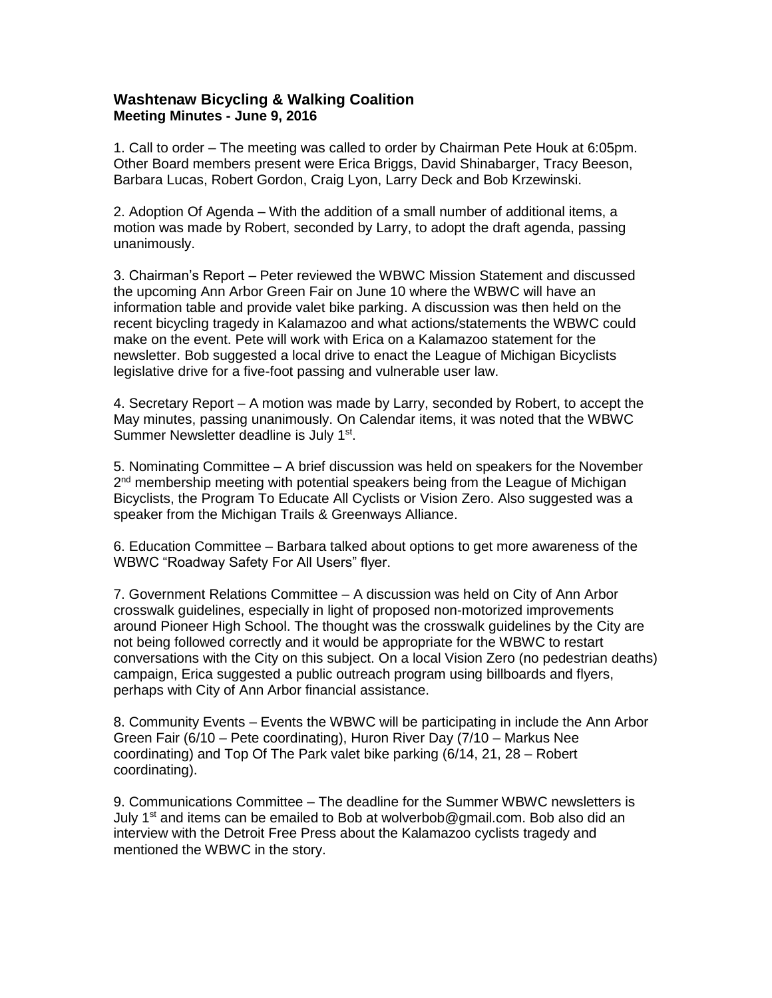## **Washtenaw Bicycling & Walking Coalition Meeting Minutes - June 9, 2016**

1. Call to order – The meeting was called to order by Chairman Pete Houk at 6:05pm. Other Board members present were Erica Briggs, David Shinabarger, Tracy Beeson, Barbara Lucas, Robert Gordon, Craig Lyon, Larry Deck and Bob Krzewinski.

2. Adoption Of Agenda – With the addition of a small number of additional items, a motion was made by Robert, seconded by Larry, to adopt the draft agenda, passing unanimously.

3. Chairman's Report – Peter reviewed the WBWC Mission Statement and discussed the upcoming Ann Arbor Green Fair on June 10 where the WBWC will have an information table and provide valet bike parking. A discussion was then held on the recent bicycling tragedy in Kalamazoo and what actions/statements the WBWC could make on the event. Pete will work with Erica on a Kalamazoo statement for the newsletter. Bob suggested a local drive to enact the League of Michigan Bicyclists legislative drive for a five-foot passing and vulnerable user law.

4. Secretary Report – A motion was made by Larry, seconded by Robert, to accept the May minutes, passing unanimously. On Calendar items, it was noted that the WBWC Summer Newsletter deadline is July 1<sup>st</sup>.

5. Nominating Committee – A brief discussion was held on speakers for the November 2<sup>nd</sup> membership meeting with potential speakers being from the League of Michigan Bicyclists, the Program To Educate All Cyclists or Vision Zero. Also suggested was a speaker from the Michigan Trails & Greenways Alliance.

6. Education Committee – Barbara talked about options to get more awareness of the WBWC "Roadway Safety For All Users" flyer.

7. Government Relations Committee – A discussion was held on City of Ann Arbor crosswalk guidelines, especially in light of proposed non-motorized improvements around Pioneer High School. The thought was the crosswalk guidelines by the City are not being followed correctly and it would be appropriate for the WBWC to restart conversations with the City on this subject. On a local Vision Zero (no pedestrian deaths) campaign, Erica suggested a public outreach program using billboards and flyers, perhaps with City of Ann Arbor financial assistance.

8. Community Events – Events the WBWC will be participating in include the Ann Arbor Green Fair (6/10 – Pete coordinating), Huron River Day (7/10 – Markus Nee coordinating) and Top Of The Park valet bike parking (6/14, 21, 28 – Robert coordinating).

9. Communications Committee – The deadline for the Summer WBWC newsletters is July 1<sup>st</sup> and items can be emailed to Bob at wolverbob@gmail.com. Bob also did an interview with the Detroit Free Press about the Kalamazoo cyclists tragedy and mentioned the WBWC in the story.